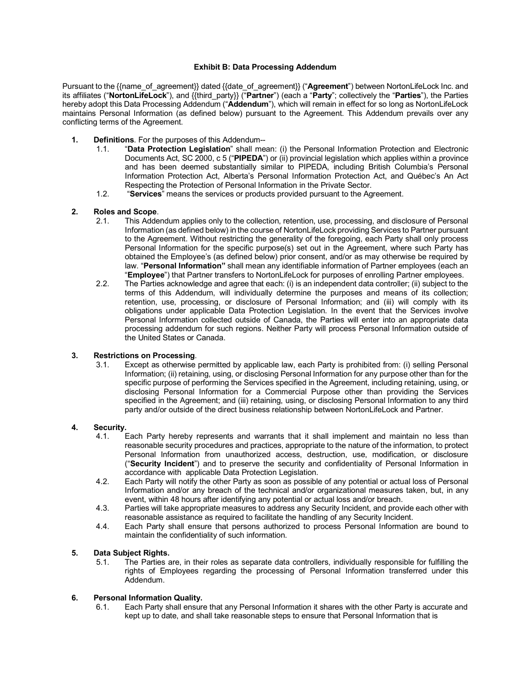#### **Exhibit B: Data Processing Addendum**

Pursuant to the {{name\_of\_agreement}} dated {{date\_of\_agreement}} ("**Agreement**") between NortonLifeLock Inc. and its affiliates ("**NortonLifeLock**"), and {{third\_party}} ("**Partner**") (each a "**Party**"; collectively the "**Parties**"), the Parties hereby adopt this Data Processing Addendum ("**Addendum**"), which will remain in effect for so long as NortonLifeLock maintains Personal Information (as defined below) pursuant to the Agreement. This Addendum prevails over any conflicting terms of the Agreement.

- **1. Definitions**. For the purposes of this Addendum--
	- 1.1. "**Data Protection Legislation**" shall mean: (i) the Personal Information Protection and Electronic Documents Act, SC 2000, c 5 ("**PIPEDA**") or (ii) provincial legislation which applies within a province and has been deemed substantially similar to PIPEDA, including British Columbia's Personal Information Protection Act, Alberta's Personal Information Protection Act, and Québec's An Act Respecting the Protection of Personal Information in the Private Sector.
	- 1.2. "**Services**" means the services or products provided pursuant to the Agreement.

# **2. Roles and Scope**.

- This Addendum applies only to the collection, retention, use, processing, and disclosure of Personal Information (as defined below) in the course of NortonLifeLock providing Services to Partner pursuant to the Agreement. Without restricting the generality of the foregoing, each Party shall only process Personal Information for the specific purpose(s) set out in the Agreement, where such Party has obtained the Employee's (as defined below) prior consent, and/or as may otherwise be required by law. "**Personal Information"** shall mean any identifiable information of Partner employees (each an "**Employee**") that Partner transfers to NortonLifeLock for purposes of enrolling Partner employees.
- 2.2. The Parties acknowledge and agree that each: (i) is an independent data controller; (ii) subject to the terms of this Addendum, will individually determine the purposes and means of its collection; retention, use, processing, or disclosure of Personal Information; and (iii) will comply with its obligations under applicable Data Protection Legislation. In the event that the Services involve Personal Information collected outside of Canada, the Parties will enter into an appropriate data processing addendum for such regions. Neither Party will process Personal Information outside of the United States or Canada.

### **3. Restrictions on Processing**.

Except as otherwise permitted by applicable law, each Party is prohibited from: (i) selling Personal Information; (ii) retaining, using, or disclosing Personal Information for any purpose other than for the specific purpose of performing the Services specified in the Agreement, including retaining, using, or disclosing Personal Information for a Commercial Purpose other than providing the Services specified in the Agreement; and (iii) retaining, using, or disclosing Personal Information to any third party and/or outside of the direct business relationship between NortonLifeLock and Partner.

### **4. Security.**

- Each Party hereby represents and warrants that it shall implement and maintain no less than reasonable security procedures and practices, appropriate to the nature of the information, to protect Personal Information from unauthorized access, destruction, use, modification, or disclosure ("**Security Incident**") and to preserve the security and confidentiality of Personal Information in accordance with applicable Data Protection Legislation.
- 4.2. Each Party will notify the other Party as soon as possible of any potential or actual loss of Personal Information and/or any breach of the technical and/or organizational measures taken, but, in any event, within 48 hours after identifying any potential or actual loss and/or breach.
- 4.3. Parties will take appropriate measures to address any Security Incident, and provide each other with reasonable assistance as required to facilitate the handling of any Security Incident.
- 4.4. Each Party shall ensure that persons authorized to process Personal Information are bound to maintain the confidentiality of such information.

### **5. Data Subject Rights.**

The Parties are, in their roles as separate data controllers, individually responsible for fulfilling the rights of Employees regarding the processing of Personal Information transferred under this Addendum.

#### **6. Personal Information Quality.**

6.1. Each Party shall ensure that any Personal Information it shares with the other Party is accurate and kept up to date, and shall take reasonable steps to ensure that Personal Information that is